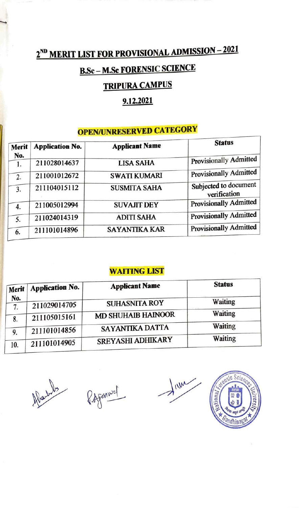# 2ND **MERIT LIST FOR PROVISIONAL ADMISSION** - **2021**

## **B.Sc - M.Sc FORENSIC SCIENCE**

### **TRIPURA CAMPUS**

### **9.12.2021**

## **OPEN/UNRESERVED CATEGORY**

| Merit<br>No. | <b>Application No.</b> | <b>Applicant Name</b> | <b>Status</b>                         |
|--------------|------------------------|-----------------------|---------------------------------------|
| 1.           | 211028014637           | <b>LISA SAHA</b>      | <b>Provisionally Admitted</b>         |
| 2.           | 211001012672           | <b>SWATI KUMARI</b>   | <b>Provisionally Admitted</b>         |
| 3.           | 211104015112           | <b>SUSMITA SAHA</b>   | Subjected to document<br>verification |
| 4.           | 211005012994           | <b>SUVAJIT DEY</b>    | <b>Provisionally Admitted</b>         |
| 5.           | 211024014319           | <b>ADITI SAHA</b>     | <b>Provisionally Admitted</b>         |
| 6.           | 211101014896           | <b>SAYANTIKA KAR</b>  | <b>Provisionally Admitted</b>         |

#### **WAITING LIST**

| Merit     | Application No. | <b>Applicant Name</b>     | <b>Status</b>  |
|-----------|-----------------|---------------------------|----------------|
| No.<br>7. | 211029014705    | <b>SUHASNITA ROY</b>      | Waiting        |
| 8.        | 211105015161    | <b>MD SHUHAIB HAINOOR</b> | <b>Waiting</b> |
| 9.        | 211101014856    | SAYANTIKA DATTA           | <b>Waiting</b> |
| 10.       | 211101014905    | SREYASHI ADHIKARY         | <b>Waiting</b> |

Albart les

---.

P. Afanwel

 $\frac{1}{100}$ 

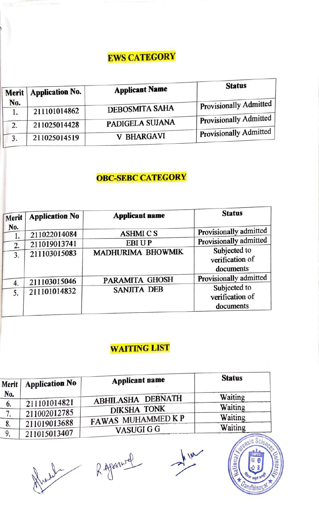## EWS CATEGORY

| <b>Application No.</b><br>Merit | <b>Applicant Name</b>                        | <b>Status</b>                                                 |
|---------------------------------|----------------------------------------------|---------------------------------------------------------------|
|                                 |                                              | Provisionally Admitted                                        |
|                                 |                                              | Provisionally Admitted                                        |
|                                 |                                              | Provisionally Admitted                                        |
|                                 | 211101014862<br>211025014428<br>211025014519 | <b>DEBOSMITA SAHA</b><br>PADIGELA SUJANA<br><b>V BHARGAVI</b> |

### **OBC-SEBC CATEGORY**

| Merit    | <b>Application No</b> | <b>Applicant name</b> | <b>Status</b>                                |
|----------|-----------------------|-----------------------|----------------------------------------------|
| No.      | 211022014084          | <b>ASHMICS</b>        | Provisionally admitted                       |
| 1.<br>2. | 211019013741          | <b>EBIUP</b>          | Provisionally admitted                       |
| 3.       | 211103015083          | MADHURIMA BHOWMIK     | Subjected to<br>verification of<br>documents |
| 4.       | 211103015046          | PARAMITA GHOSH        | Provisionally admitted                       |
| 5.       | 211101014832          | <b>SANJITA DEB</b>    | Subjected to<br>verification of<br>documents |

### **WAITING LIST**

| Merit | <b>Application No</b> | <b>Applicant name</b> | <b>Status</b> |
|-------|-----------------------|-----------------------|---------------|
| No.   |                       | ABHILASHA DEBNATH     | Waiting       |
| 6.    | 211101014821          | <b>DIKSHA TONK</b>    | Waiting       |
|       | 211002012785          | FAWAS MUHAMMED KP     | Waiting       |
| о.    | 211019013688          |                       | Waiting       |
|       | 211015013407          | <b>VASUGI G G</b>     |               |

Right Ripparwel

NW